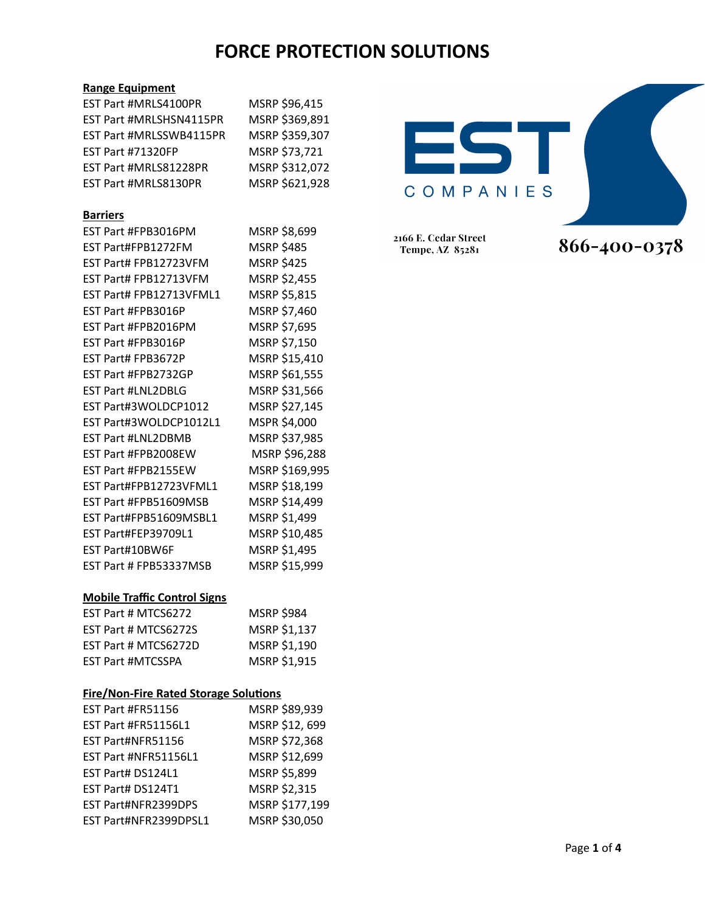### **Range Equipment**

| <b>EST Part #MRLS4100PR</b>                  | MSRP \$96,415     |
|----------------------------------------------|-------------------|
| EST Part #MRLSHSN4115PR                      | MSRP \$369,891    |
| EST Part #MRLSSWB4115PR                      | MSRP \$359,307    |
| <b>EST Part #71320FP</b>                     | MSRP \$73,721     |
| EST Part #MRLS81228PR                        | MSRP \$312,072    |
| EST Part #MRLS8130PR                         | MSRP \$621,928    |
|                                              |                   |
| <b>Barriers</b>                              |                   |
| EST Part #FPB3016PM                          | MSRP \$8,699      |
| EST Part#FPB1272FM                           | <b>MSRP \$485</b> |
| EST Part# FPB12723VFM                        | <b>MSRP \$425</b> |
| EST Part# FPB12713VFM                        | MSRP \$2,455      |
| EST Part# FPB12713VFML1                      | MSRP \$5,815      |
| EST Part #FPB3016P                           | MSRP \$7,460      |
| EST Part #FPB2016PM                          | MSRP \$7,695      |
| EST Part #FPB3016P                           | MSRP \$7,150      |
| EST Part# FPB3672P                           | MSRP \$15,410     |
| EST Part #FPB2732GP                          | MSRP \$61,555     |
| <b>EST Part #LNL2DBLG</b>                    | MSRP \$31,566     |
| EST Part#3WOLDCP1012                         | MSRP \$27,145     |
| EST Part#3WOLDCP1012L1                       | MSPR \$4,000      |
| <b>EST Part #LNL2DBMB</b>                    | MSRP \$37,985     |
| EST Part #FPB2008EW                          | MSRP \$96,288     |
| EST Part #FPB2155EW                          | MSRP \$169,995    |
| EST Part#FPB12723VFML1                       | MSRP \$18,199     |
| EST Part #FPB51609MSB                        | MSRP \$14,499     |
| EST Part#FPB51609MSBL1                       | MSRP \$1,499      |
| EST Part#FEP39709L1                          | MSRP \$10,485     |
| EST Part#10BW6F                              | MSRP \$1,495      |
| EST Part # FPB53337MSB                       | MSRP \$15,999     |
|                                              |                   |
| <b>Mobile Traffic Control Signs</b>          |                   |
| EST Part # MTCS6272                          | MSRP \$984        |
| EST Part # MTCS6272S                         | MSRP \$1,137      |
| EST Part # MTCS6272D                         | MSRP \$1,190      |
| <b>EST Part #MTCSSPA</b>                     | MSRP \$1,915      |
|                                              |                   |
| <b>Fire/Non-Fire Rated Storage Solutions</b> |                   |
| EST Part #FR51156                            | MSRP \$89,939     |
| EST Part #FR51156L1                          | MSRP \$12, 699    |
| EST Part#NFR51156                            | MSRP \$72,368     |
| EST Part #NFR51156L1                         | MSRP \$12,699     |
| EST Part# DS124L1                            | MSRP \$5,899      |
| EST Part# DS124T1                            | MSRP \$2,315      |

EST Part#NFR2399DPS MSRP \$177,199 EST Part#NFR2399DPSL1 MSRP \$30,050



866-400-0378

2166 E. Cedar Street Tempe, AZ 85281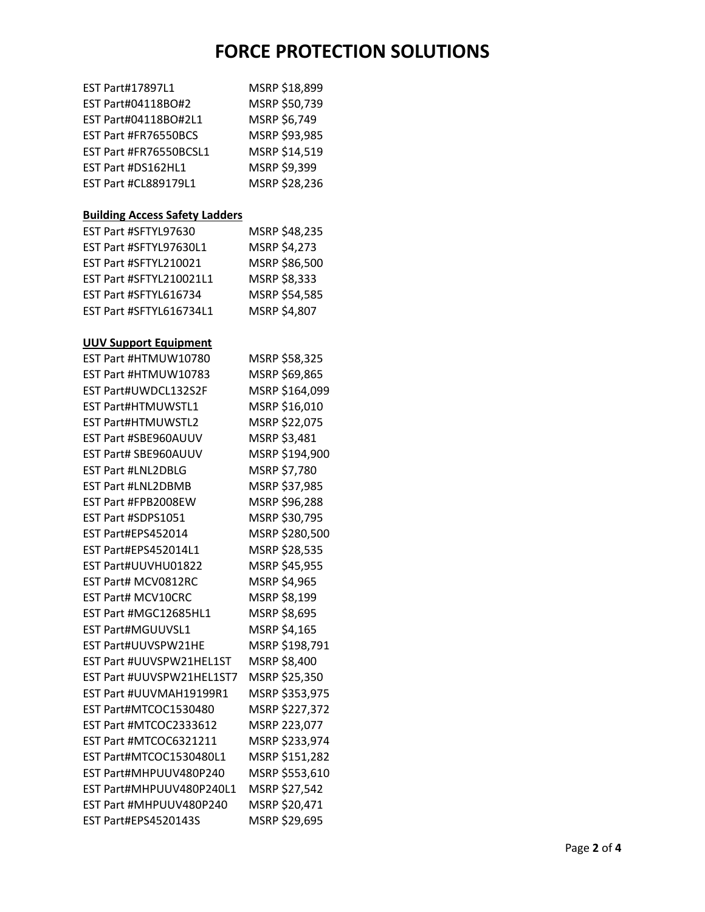| EST Part#17897L1                      | MSRP \$18,899  |
|---------------------------------------|----------------|
| EST Part#04118BO#2                    | MSRP \$50,739  |
| EST Part#04118BO#2L1                  | MSRP \$6,749   |
| EST Part #FR76550BCS                  | MSRP \$93,985  |
| EST Part #FR76550BCSL1                | MSRP \$14,519  |
| EST Part #DS162HL1                    | MSRP \$9,399   |
| <b>EST Part #CL889179L1</b>           | MSRP \$28,236  |
|                                       |                |
| <b>Building Access Safety Ladders</b> |                |
| EST Part #SFTYL97630                  | MSRP \$48,235  |
| EST Part #SFTYL97630L1                | MSRP \$4,273   |
| EST Part #SFTYL210021                 | MSRP \$86,500  |
| EST Part #SFTYL210021L1               | MSRP \$8,333   |
| EST Part #SFTYL616734                 | MSRP \$54,585  |
| EST Part #SFTYL616734L1               | MSRP \$4,807   |
|                                       |                |
| <b>UUV Support Equipment</b>          |                |
| EST Part #HTMUW10780                  | MSRP \$58,325  |
| EST Part #HTMUW10783                  | MSRP \$69,865  |
| EST Part#UWDCL132S2F                  | MSRP \$164,099 |
| <b>EST Part#HTMUWSTL1</b>             | MSRP \$16,010  |
| <b>EST Part#HTMUWSTL2</b>             | MSRP \$22,075  |
| EST Part #SBE960AUUV                  | MSRP \$3,481   |
| EST Part# SBE960AUUV                  | MSRP \$194,900 |
| <b>EST Part #LNL2DBLG</b>             | MSRP \$7,780   |
| <b>EST Part #LNL2DBMB</b>             | MSRP \$37,985  |
| EST Part #FPB2008EW                   | MSRP \$96,288  |
| EST Part #SDPS1051                    | MSRP \$30,795  |
| EST Part#EPS452014                    | MSRP \$280,500 |
| EST Part#EPS452014L1                  | MSRP \$28,535  |
| EST Part#UUVHU01822                   | MSRP \$45,955  |
| EST Part# MCV0812RC                   | MSRP \$4,965   |
| EST Part# MCV10CRC                    | MSRP \$8,199   |
| EST Part #MGC12685HL1                 | MSRP \$8,695   |
| EST Part#MGUUVSL1                     | MSRP \$4,165   |
| EST Part#UUVSPW21HE                   | MSRP \$198,791 |
| EST Part #UUVSPW21HEL1ST              | MSRP \$8,400   |
| EST Part #UUVSPW21HEL1ST7             | MSRP \$25,350  |
| EST Part #UUVMAH19199R1               | MSRP \$353,975 |
| EST Part#MTCOC1530480                 | MSRP \$227,372 |
| EST Part #MTCOC2333612                | MSRP 223,077   |
| EST Part #MTCOC6321211                | MSRP \$233,974 |
| EST Part#MTCOC1530480L1               | MSRP \$151,282 |
| EST Part#MHPUUV480P240                | MSRP \$553,610 |
| EST Part#MHPUUV480P240L1              | MSRP \$27,542  |
| EST Part #MHPUUV480P240               | MSRP \$20,471  |
| EST Part#EPS4520143S                  | MSRP \$29,695  |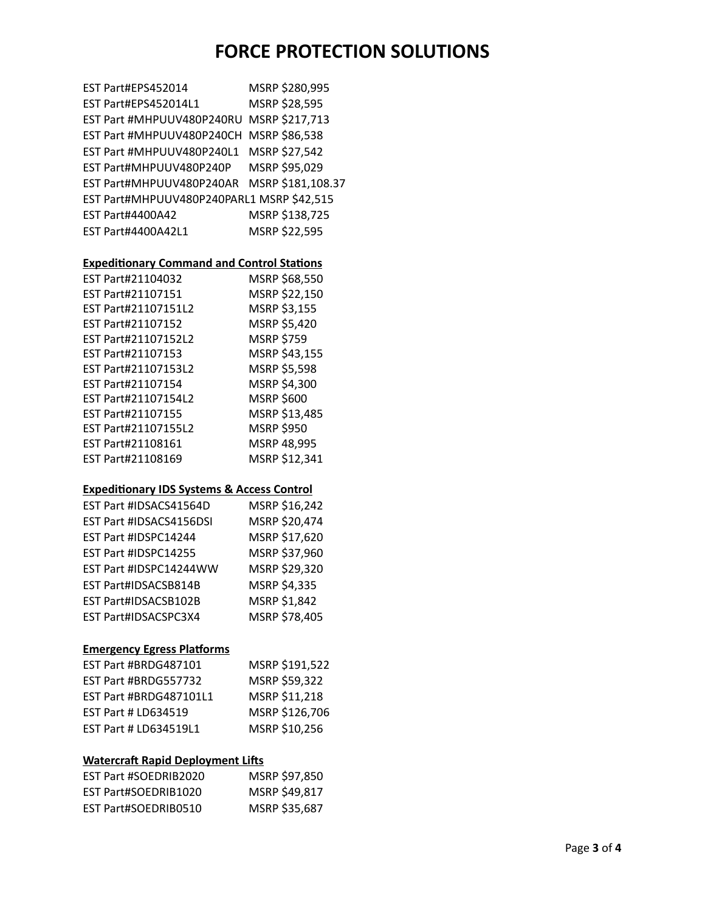| EST Part#EPS452014                        | MSRP \$280,995    |
|-------------------------------------------|-------------------|
| EST Part#EPS452014L1                      | MSRP \$28,595     |
| EST Part #MHPUUV480P240RU                 | MSRP \$217,713    |
| EST Part #MHPUUV480P240CH                 | MSRP \$86,538     |
| EST Part #MHPUUV480P240L1                 | MSRP \$27,542     |
| EST Part#MHPUUV480P240P                   | MSRP \$95,029     |
| EST Part#MHPUUV480P240AR                  | MSRP \$181,108.37 |
| EST Part#MHPUUV480P240PARL1 MSRP \$42,515 |                   |
| <b>EST Part#4400A42</b>                   | MSRP \$138,725    |
| EST Part#4400A42L1                        | MSRP \$22,595     |

### **Expeditionary Command and Control Stations**

| EST Part#21104032   | MSRP \$68,550     |
|---------------------|-------------------|
| EST Part#21107151   | MSRP \$22,150     |
| EST Part#21107151L2 | MSRP \$3,155      |
| EST Part#21107152   | MSRP \$5,420      |
| EST Part#21107152L2 | <b>MSRP \$759</b> |
| EST Part#21107153   | MSRP \$43,155     |
| EST Part#21107153L2 | MSRP \$5,598      |
| EST Part#21107154   | MSRP \$4,300      |
| EST Part#21107154L2 | MSRP \$600        |
| EST Part#21107155   | MSRP \$13,485     |
| EST Part#21107155L2 | <b>MSRP \$950</b> |
| EST Part#21108161   | MSRP 48,995       |
| EST Part#21108169   | MSRP \$12,341     |

#### **Expeditionary IDS Systems & Access Control**

| EST Part #IDSACS41564D  | MSRP \$16,242 |
|-------------------------|---------------|
| EST Part #IDSACS4156DSI | MSRP \$20,474 |
| EST Part #IDSPC14244    | MSRP \$17,620 |
| EST Part #IDSPC14255    | MSRP \$37,960 |
| EST Part #IDSPC14244WW  | MSRP \$29,320 |
| EST Part#IDSACSB814B    | MSRP \$4,335  |
| EST Part#IDSACSB102B    | MSRP \$1,842  |
| EST Part#IDSACSPC3X4    | MSRP \$78,405 |

### **Emergency Egress Platforms**

| MSRP \$191,522 |
|----------------|
| MSRP \$59,322  |
| MSRP \$11,218  |
| MSRP \$126,706 |
| MSRP \$10,256  |
|                |

### **Watercraft Rapid Deployment Lifts**

| EST Part #SOEDRIB2020 | MSRP \$97,850 |
|-----------------------|---------------|
| EST Part#SOEDRIB1020  | MSRP \$49,817 |
| EST Part#SOEDRIB0510  | MSRP \$35,687 |